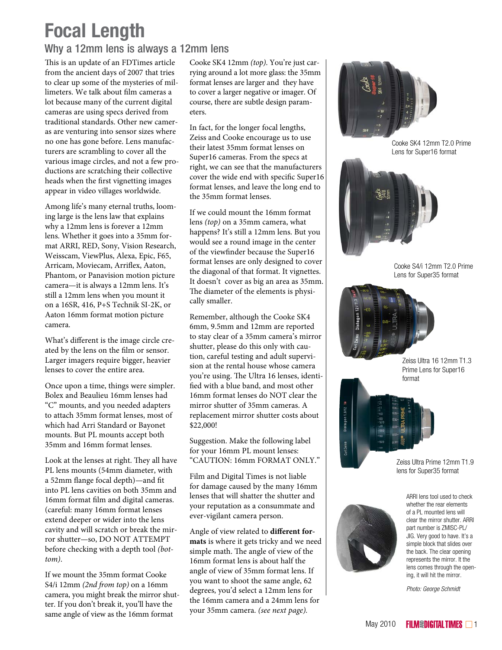# **Focal Length**

### Why a 12mm lens is always a 12mm lens

This is an update of an FDTimes article from the ancient days of 2007 that tries to clear up some of the mysteries of millimeters. We talk about film cameras a lot because many of the current digital cameras are using specs derived from traditional standards. Other new cameras are venturing into sensor sizes where no one has gone before. Lens manufacturers are scrambling to cover all the various image circles, and not a few productions are scratching their collective heads when the first vignetting images appear in video villages worldwide.

Among life's many eternal truths, looming large is the lens law that explains why a 12mm lens is forever a 12mm lens. Whether it goes into a 35mm format ARRI, RED, Sony, Vision Research, Weisscam, ViewPlus, Alexa, Epic, F65, Arricam, Moviecam, Arriflex, Aaton, Phantom, or Panavision motion picture camera—it is always a 12mm lens. It's still a 12mm lens when you mount it on a 16SR, 416, P+S Technik SI-2K, or Aaton 16mm format motion picture camera.

What's different is the image circle created by the lens on the film or sensor. Larger imagers require bigger, heavier lenses to cover the entire area.

Once upon a time, things were simpler. Bolex and Beaulieu 16mm lenses had "C" mounts, and you needed adapters to attach 35mm format lenses, most of which had Arri Standard or Bayonet mounts. But PL mounts accept both 35mm and 16mm format lenses.

Look at the lenses at right. They all have PL lens mounts (54mm diameter, with a 52mm flange focal depth)—and fit into PL lens cavities on both 35mm and 16mm format film and digital cameras. (careful: many 16mm format lenses extend deeper or wider into the lens cavity and will scratch or break the mirror shutter—so, DO NOT ATTEMPT before checking with a depth tool *(bottom)*.

If we mount the 35mm format Cooke S4/i 12mm *(2nd from top)* on a 16mm camera, you might break the mirror shutter. If you don't break it, you'll have the same angle of view as the 16mm format

Cooke SK4 12mm *(top)*. You're just carrying around a lot more glass: the 35mm format lenses are larger and they have to cover a larger negative or imager. Of course, there are subtle design parameters.

In fact, for the longer focal lengths, Zeiss and Cooke encourage us to use their latest 35mm format lenses on Super16 cameras. From the specs at right, we can see that the manufacturers cover the wide end with specific Super16 format lenses, and leave the long end to the 35mm format lenses.

If we could mount the 16mm format lens *(top)* on a 35mm camera, what happens? It's still a 12mm lens. But you would see a round image in the center of the viewfinder because the Super16 format lenses are only designed to cover the diagonal of that format. It vignettes. It doesn't cover as big an area as 35mm. The diameter of the elements is physically smaller.

Remember, although the Cooke SK4 6mm, 9.5mm and 12mm are reported to stay clear of a 35mm camera's mirror shutter, please do this only with caution, careful testing and adult supervision at the rental house whose camera you're using. The Ultra 16 lenses, identified with a blue band, and most other 16mm format lenses do NOT clear the mirror shutter of 35mm cameras. A replacement mirror shutter costs about \$22,000!

Suggestion. Make the following label for your 16mm PL mount lenses: "CAUTION: 16mm FORMAT ONLY."

Film and Digital Times is not liable for damage caused by the many 16mm lenses that will shatter the shutter and your reputation as a consummate and ever-vigilant camera person.

Angle of view related to **different formats** is where it gets tricky and we need simple math. The angle of view of the 16mm format lens is about half the angle of view of 35mm format lens. If you want to shoot the same angle, 62 degrees, you'd select a 12mm lens for the 16mm camera and a 24mm lens for your 35mm camera. *(see next page).*



Cooke SK4 12mm T2.0 Prime Lens for Super16 format



Cooke S4/i 12mm T2.0 Prime Lens for Super35 format



Zeiss Ultra 16 12mm T1.3 Prime Lens for Super16 format



Zeiss Ultra Prime 12mm T1.9 lens for Super35 format



ARRI lens tool used to check whether the rear elements of a PL mounted lens will clear the mirror shutter. ARRI part number is ZMISC-PL/ JIG. Very good to have. It's a simple block that slides over the back. The clear opening represents the mirror. It the lens comes through the opening, it will hit the mirror.

*Photo: George Schmidt*